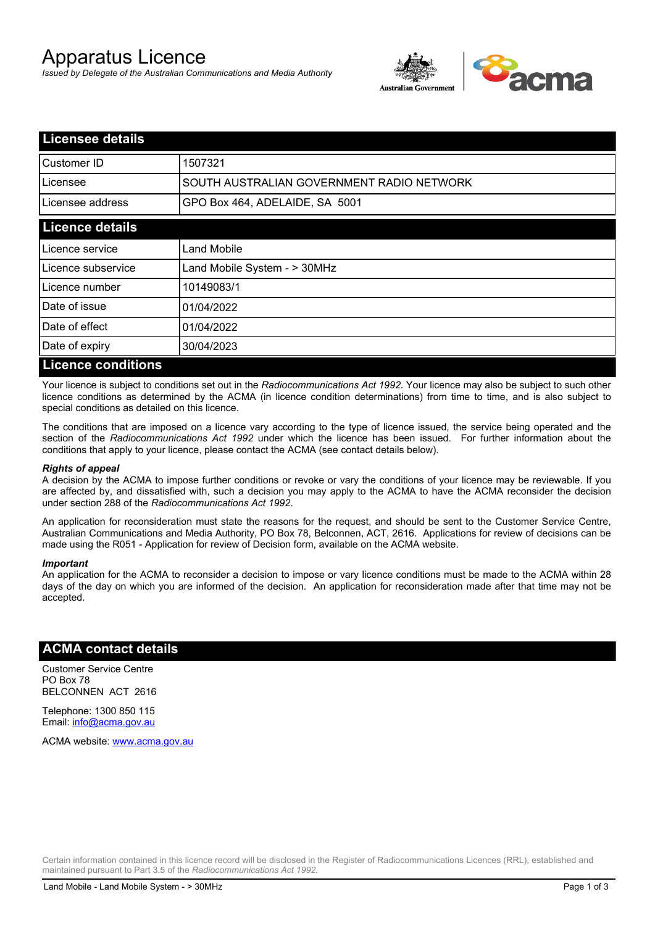# Apparatus Licence

*Issued by Delegate of the Australian Communications and Media Authority*



| <b>Licensee details</b>   |                                           |
|---------------------------|-------------------------------------------|
| <b>I</b> Customer ID      | 1507321                                   |
| Licensee                  | SOUTH AUSTRALIAN GOVERNMENT RADIO NETWORK |
| Licensee address          | GPO Box 464, ADELAIDE, SA 5001            |
| <b>Licence details</b>    |                                           |
| Licence service           | <b>Land Mobile</b>                        |
| Licence subservice        | Land Mobile System - > 30MHz              |
| Licence number            | 10149083/1                                |
| Date of issue             | 01/04/2022                                |
| Date of effect            | 01/04/2022                                |
| Date of expiry            | 30/04/2023                                |
| <b>Licence conditions</b> |                                           |

Your licence is subject to conditions set out in the *Radiocommunications Act 1992*. Your licence may also be subject to such other licence conditions as determined by the ACMA (in licence condition determinations) from time to time, and is also subject to special conditions as detailed on this licence.

The conditions that are imposed on a licence vary according to the type of licence issued, the service being operated and the section of the *Radiocommunications Act 1992* under which the licence has been issued. For further information about the conditions that apply to your licence, please contact the ACMA (see contact details below).

#### *Rights of appeal*

A decision by the ACMA to impose further conditions or revoke or vary the conditions of your licence may be reviewable. If you are affected by, and dissatisfied with, such a decision you may apply to the ACMA to have the ACMA reconsider the decision under section 288 of the *Radiocommunications Act 1992*.

An application for reconsideration must state the reasons for the request, and should be sent to the Customer Service Centre, Australian Communications and Media Authority, PO Box 78, Belconnen, ACT, 2616. Applications for review of decisions can be made using the R051 - Application for review of Decision form, available on the ACMA website.

#### *Important*

An application for the ACMA to reconsider a decision to impose or vary licence conditions must be made to the ACMA within 28 days of the day on which you are informed of the decision. An application for reconsideration made after that time may not be accepted.

### **ACMA contact details**

Customer Service Centre PO Box 78 BELCONNEN ACT 2616

Telephone: 1300 850 115 Email: info@acma.gov.au

ACMA website: www.acma.gov.au

Certain information contained in this licence record will be disclosed in the Register of Radiocommunications Licences (RRL), established and maintained pursuant to Part 3.5 of the *Radiocommunications Act 1992.*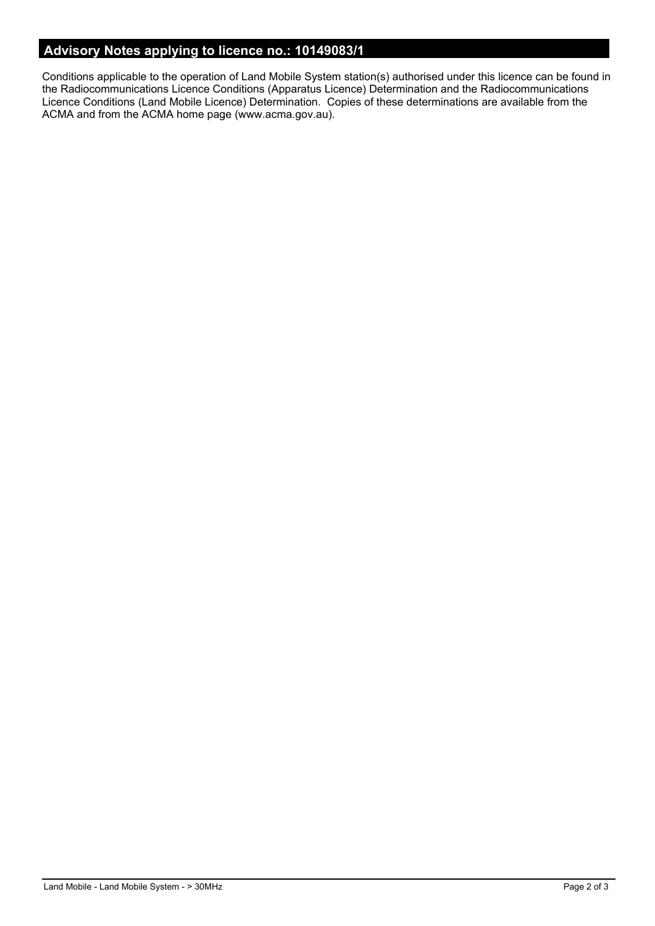# **Advisory Notes applying to licence no.: 10149083/1**

Conditions applicable to the operation of Land Mobile System station(s) authorised under this licence can be found in the Radiocommunications Licence Conditions (Apparatus Licence) Determination and the Radiocommunications Licence Conditions (Land Mobile Licence) Determination. Copies of these determinations are available from the ACMA and from the ACMA home page (www.acma.gov.au).